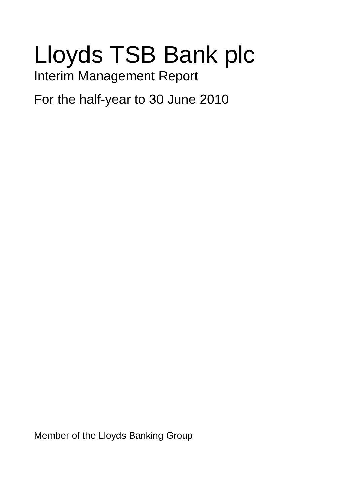# Lloyds TSB Bank plc

Interim Management Report

For the half-year to 30 June 2010

Member of the Lloyds Banking Group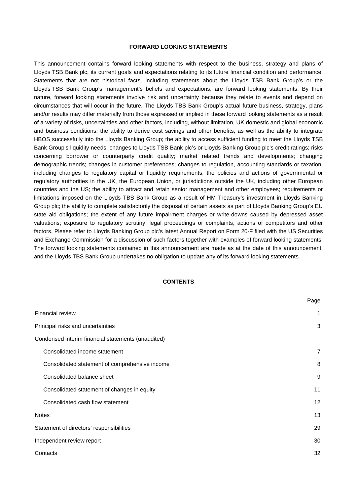#### **FORWARD LOOKING STATEMENTS**

This announcement contains forward looking statements with respect to the business, strategy and plans of Lloyds TSB Bank plc, its current goals and expectations relating to its future financial condition and performance. Statements that are not historical facts, including statements about the Lloyds TSB Bank Group's or the Lloyds TSB Bank Group's management's beliefs and expectations, are forward looking statements. By their nature, forward looking statements involve risk and uncertainty because they relate to events and depend on circumstances that will occur in the future. The Lloyds TBS Bank Group's actual future business, strategy, plans and/or results may differ materially from those expressed or implied in these forward looking statements as a result of a variety of risks, uncertainties and other factors, including, without limitation, UK domestic and global economic and business conditions; the ability to derive cost savings and other benefits, as well as the ability to integrate HBOS successfully into the Lloyds Banking Group; the ability to access sufficient funding to meet the Lloyds TSB Bank Group's liquidity needs; changes to Lloyds TSB Bank plc's or Lloyds Banking Group plc's credit ratings; risks concerning borrower or counterparty credit quality; market related trends and developments; changing demographic trends; changes in customer preferences; changes to regulation, accounting standards or taxation, including changes to regulatory capital or liquidity requirements; the policies and actions of governmental or regulatory authorities in the UK, the European Union, or jurisdictions outside the UK, including other European countries and the US; the ability to attract and retain senior management and other employees; requirements or limitations imposed on the Lloyds TBS Bank Group as a result of HM Treasury's investment in Lloyds Banking Group plc; the ability to complete satisfactorily the disposal of certain assets as part of Lloyds Banking Group's EU state aid obligations; the extent of any future impairment charges or write-downs caused by depressed asset valuations; exposure to regulatory scrutiny, legal proceedings or complaints, actions of competitors and other factors. Please refer to Lloyds Banking Group plc's latest Annual Report on Form 20-F filed with the US Securities and Exchange Commission for a discussion of such factors together with examples of forward looking statements. The forward looking statements contained in this announcement are made as at the date of this announcement, and the Lloyds TBS Bank Group undertakes no obligation to update any of its forward looking statements.

#### **CONTENTS**

|                                                    | Page |
|----------------------------------------------------|------|
| <b>Financial review</b>                            | 1    |
| Principal risks and uncertainties                  | 3    |
| Condensed interim financial statements (unaudited) |      |
| Consolidated income statement                      | 7    |
| Consolidated statement of comprehensive income     | 8    |
| Consolidated balance sheet                         | 9    |
| Consolidated statement of changes in equity        | 11   |
| Consolidated cash flow statement                   | 12   |
| <b>Notes</b>                                       | 13   |
| Statement of directors' responsibilities           | 29   |
| Independent review report                          | 30   |
| Contacts                                           | 32   |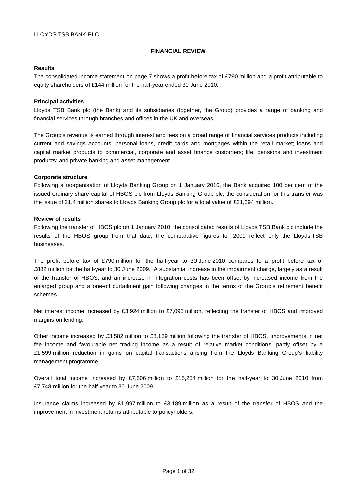#### **FINANCIAL REVIEW**

## **Results**

The consolidated income statement on page 7 shows a profit before tax of £790 million and a profit attributable to equity shareholders of £144 million for the half-year ended 30 June 2010.

## **Principal activities**

Lloyds TSB Bank plc (the Bank) and its subsidiaries (together, the Group) provides a range of banking and financial services through branches and offices in the UK and overseas.

The Group's revenue is earned through interest and fees on a broad range of financial services products including current and savings accounts, personal loans, credit cards and mortgages within the retail market; loans and capital market products to commercial, corporate and asset finance customers; life, pensions and investment products; and private banking and asset management.

## **Corporate structure**

Following a reorganisation of Lloyds Banking Group on 1 January 2010, the Bank acquired 100 per cent of the issued ordinary share capital of HBOS plc from Lloyds Banking Group plc; the consideration for this transfer was the issue of 21.4 million shares to Lloyds Banking Group plc for a total value of £21,394 million.

## **Review of results**

Following the transfer of HBOS plc on 1 January 2010, the consolidated results of Lloyds TSB Bank plc include the results of the HBOS group from that date; the comparative figures for 2009 reflect only the Lloyds TSB businesses.

The profit before tax of £790 million for the half-year to 30 June 2010 compares to a profit before tax of £882 million for the half-year to 30 June 2009. A substantial increase in the impairment charge, largely as a result of the transfer of HBOS, and an increase in integration costs has been offset by increased income from the enlarged group and a one-off curtailment gain following changes in the terms of the Group's retirement benefit schemes.

Net interest income increased by £3,924 million to £7,095 million, reflecting the transfer of HBOS and improved margins on lending.

Other income increased by £3,582 million to £8,159 million following the transfer of HBOS, improvements in net fee income and favourable net trading income as a result of relative market conditions, partly offset by a £1,599 million reduction in gains on capital transactions arising from the Lloyds Banking Group's liability management programme.

Overall total income increased by £7,506 million to £15,254 million for the half-year to 30 June 2010 from £7,748 million for the half-year to 30 June 2009.

Insurance claims increased by £1,997 million to £3,189 million as a result of the transfer of HBOS and the improvement in investment returns attributable to policyholders.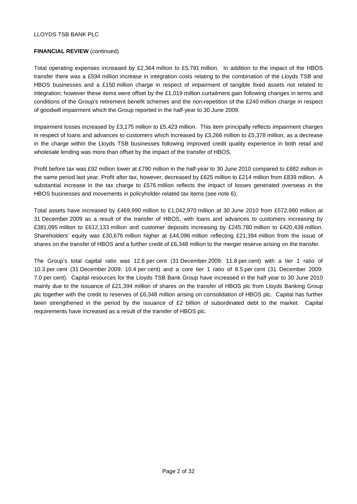## **FINANCIAL REVIEW** (continued)

Total operating expenses increased by £2,364 million to £5,791 million. In addition to the impact of the HBOS transfer there was a £594 million increase in integration costs relating to the combination of the Lloyds TSB and HBOS businesses and a £150 million charge in respect of impairment of tangible fixed assets not related to integration; however these items were offset by the £1,019 million curtailment gain following changes in terms and conditions of the Group's retirement benefit schemes and the non-repetition of the £240 million charge in respect of goodwill impairment which the Group reported in the half-year to 30 June 2009.

Impairment losses increased by £3,175 million to £5,423 million. This item principally reflects impairment charges in respect of loans and advances to customers which increased by £3,266 million to £5,378 million, as a decrease in the charge within the Lloyds TSB businesses following improved credit quality experience in both retail and wholesale lending was more than offset by the impact of the transfer of HBOS.

Profit before tax was £92 million lower at £790 million in the half-year to 30 June 2010 compared to £882 million in the same period last year. Profit after tax, however, decreased by £625 million to £214 million from £839 million. A substantial increase in the tax charge to £576 million reflects the impact of losses generated overseas in the HBOS businesses and movements in policyholder-related tax items (see note 6).

Total assets have increased by £469,990 million to £1,042,970 million at 30 June 2010 from £572,980 million at 31 December 2009 as a result of the transfer of HBOS, with loans and advances to customers increasing by £381,095 million to £612,133 million and customer deposits increasing by £245,780 million to £420,438 million. Shareholders' equity was £30,676 million higher at £44,096 million reflecting £21,394 million from the issue of shares on the transfer of HBOS and a further credit of £6,348 million to the merger reserve arising on the transfer.

The Group's total capital ratio was 12.6 per cent (31 December 2009: 11.8 per cent) with a tier 1 ratio of 10.3 per cent (31 December 2009: 10.4 per cent) and a core tier 1 ratio of 8.5 per cent (31 December 2009: 7.0 per cent). Capital resources for the Lloyds TSB Bank Group have increased in the half year to 30 June 2010 mainly due to the issuance of £21,394 million of shares on the transfer of HBOS plc from Lloyds Banking Group plc together with the credit to reserves of £6,348 million arising on consolidation of HBOS plc. Capital has further been strengthened in the period by the issuance of £2 billion of subordinated debt to the market. Capital requirements have increased as a result of the transfer of HBOS plc.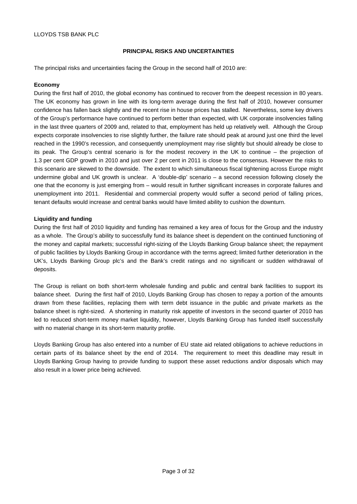## **PRINCIPAL RISKS AND UNCERTAINTIES**

The principal risks and uncertainties facing the Group in the second half of 2010 are:

## **Economy**

During the first half of 2010, the global economy has continued to recover from the deepest recession in 80 years. The UK economy has grown in line with its long-term average during the first half of 2010, however consumer confidence has fallen back slightly and the recent rise in house prices has stalled. Nevertheless, some key drivers of the Group's performance have continued to perform better than expected, with UK corporate insolvencies falling in the last three quarters of 2009 and, related to that, employment has held up relatively well. Although the Group expects corporate insolvencies to rise slightly further, the failure rate should peak at around just one third the level reached in the 1990's recession, and consequently unemployment may rise slightly but should already be close to its peak. The Group's central scenario is for the modest recovery in the UK to continue – the projection of 1.3 per cent GDP growth in 2010 and just over 2 per cent in 2011 is close to the consensus. However the risks to this scenario are skewed to the downside. The extent to which simultaneous fiscal tightening across Europe might undermine global and UK growth is unclear. A 'double-dip' scenario – a second recession following closely the one that the economy is just emerging from – would result in further significant increases in corporate failures and unemployment into 2011. Residential and commercial property would suffer a second period of falling prices, tenant defaults would increase and central banks would have limited ability to cushion the downturn.

## **Liquidity and funding**

During the first half of 2010 liquidity and funding has remained a key area of focus for the Group and the industry as a whole. The Group's ability to successfully fund its balance sheet is dependent on the continued functioning of the money and capital markets; successful right-sizing of the Lloyds Banking Group balance sheet; the repayment of public facilities by Lloyds Banking Group in accordance with the terms agreed; limited further deterioration in the UK's, Lloyds Banking Group plc's and the Bank's credit ratings and no significant or sudden withdrawal of deposits.

The Group is reliant on both short-term wholesale funding and public and central bank facilities to support its balance sheet. During the first half of 2010, Lloyds Banking Group has chosen to repay a portion of the amounts drawn from these facilities, replacing them with term debt issuance in the public and private markets as the balance sheet is right-sized. A shortening in maturity risk appetite of investors in the second quarter of 2010 has led to reduced short-term money market liquidity, however, Lloyds Banking Group has funded itself successfully with no material change in its short-term maturity profile.

Lloyds Banking Group has also entered into a number of EU state aid related obligations to achieve reductions in certain parts of its balance sheet by the end of 2014. The requirement to meet this deadline may result in Lloyds Banking Group having to provide funding to support these asset reductions and/or disposals which may also result in a lower price being achieved.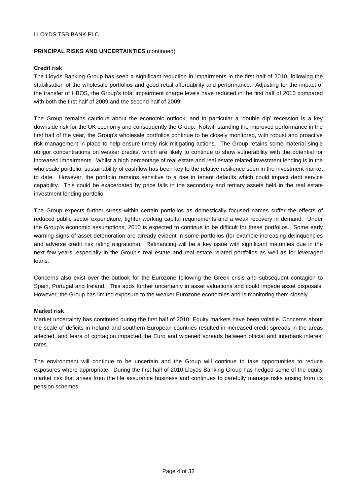## **PRINCIPAL RISKS AND UNCERTAINTIES** (continued)

## **Credit risk**

The Lloyds Banking Group has seen a significant reduction in impairments in the first half of 2010, following the stabilisation of the wholesale portfolios and good retail affordability and performance. Adjusting for the impact of the transfer of HBOS, the Group's total impairment charge levels have reduced in the first half of 2010 compared with both the first half of 2009 and the second half of 2009.

The Group remains cautious about the economic outlook, and in particular a 'double dip' recession is a key downside risk for the UK economy and consequently the Group. Notwithstanding the improved performance in the first half of the year, the Group's wholesale portfolios continue to be closely monitored, with robust and proactive risk management in place to help ensure timely risk mitigating actions. The Group retains some material single obligor concentrations on weaker credits, which are likely to continue to show vulnerability with the potential for increased impairments. Whilst a high percentage of real estate and real estate related investment lending is in the wholesale portfolio, sustainability of cashflow has been key to the relative resilience seen in the investment market to date. However, the portfolio remains sensitive to a rise in tenant defaults which could impact debt service capability. This could be exacerbated by price falls in the secondary and tertiary assets held in the real estate investment lending portfolio.

The Group expects further stress within certain portfolios as domestically focused names suffer the effects of reduced public sector expenditure, tighter working capital requirements and a weak recovery in demand. Under the Group's economic assumptions, 2010 is expected to continue to be difficult for these portfolios. Some early warning signs of asset deterioration are already evident in some portfolios (for example increasing delinquencies and adverse credit risk rating migrations). Refinancing will be a key issue with significant maturities due in the next few years, especially in the Group's real estate and real estate related portfolios as well as for leveraged loans.

Concerns also exist over the outlook for the Eurozone following the Greek crisis and subsequent contagion to Spain, Portugal and Ireland. This adds further uncertainty in asset valuations and could impede asset disposals. However, the Group has limited exposure to the weaker Eurozone economies and is monitoring them closely.

#### **Market risk**

Market uncertainty has continued during the first half of 2010. Equity markets have been volatile. Concerns about the scale of deficits in Ireland and southern European countries resulted in increased credit spreads in the areas affected, and fears of contagion impacted the Euro and widened spreads between official and interbank interest rates.

The environment will continue to be uncertain and the Group will continue to take opportunities to reduce exposures where appropriate. During the first half of 2010 Lloyds Banking Group has hedged some of the equity market risk that arises from the life assurance business and continues to carefully manage risks arising from its pension schemes.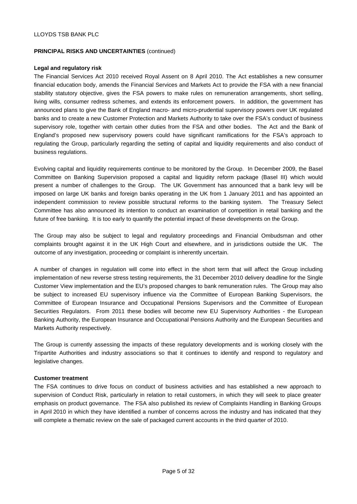## **PRINCIPAL RISKS AND UNCERTAINTIES** (continued)

## **Legal and regulatory risk**

The Financial Services Act 2010 received Royal Assent on 8 April 2010. The Act establishes a new consumer financial education body, amends the Financial Services and Markets Act to provide the FSA with a new financial stability statutory objective, gives the FSA powers to make rules on remuneration arrangements, short selling, living wills, consumer redress schemes, and extends its enforcement powers. In addition, the government has announced plans to give the Bank of England macro- and micro-prudential supervisory powers over UK regulated banks and to create a new Customer Protection and Markets Authority to take over the FSA's conduct of business supervisory role, together with certain other duties from the FSA and other bodies. The Act and the Bank of England's proposed new supervisory powers could have significant ramifications for the FSA's approach to regulating the Group, particularly regarding the setting of capital and liquidity requirements and also conduct of business regulations.

Evolving capital and liquidity requirements continue to be monitored by the Group. In December 2009, the Basel Committee on Banking Supervision proposed a capital and liquidity reform package (Basel III) which would present a number of challenges to the Group. The UK Government has announced that a bank levy will be imposed on large UK banks and foreign banks operating in the UK from 1 January 2011 and has appointed an independent commission to review possible structural reforms to the banking system. The Treasury Select Committee has also announced its intention to conduct an examination of competition in retail banking and the future of free banking. It is too early to quantify the potential impact of these developments on the Group.

The Group may also be subject to legal and regulatory proceedings and Financial Ombudsman and other complaints brought against it in the UK High Court and elsewhere, and in jurisdictions outside the UK. The outcome of any investigation, proceeding or complaint is inherently uncertain.

A number of changes in regulation will come into effect in the short term that will affect the Group including implementation of new reverse stress testing requirements, the 31 December 2010 delivery deadline for the Single Customer View implementation and the EU's proposed changes to bank remuneration rules. The Group may also be subject to increased EU supervisory influence via the Committee of European Banking Supervisors, the Committee of European Insurance and Occupational Pensions Supervisors and the Committee of European Securities Regulators. From 2011 these bodies will become new EU Supervisory Authorities - the European Banking Authority, the European Insurance and Occupational Pensions Authority and the European Securities and Markets Authority respectively.

The Group is currently assessing the impacts of these regulatory developments and is working closely with the Tripartite Authorities and industry associations so that it continues to identify and respond to regulatory and legislative changes.

## **Customer treatment**

The FSA continues to drive focus on conduct of business activities and has established a new approach to supervision of Conduct Risk, particularly in relation to retail customers, in which they will seek to place greater emphasis on product governance. The FSA also published its review of Complaints Handling in Banking Groups in April 2010 in which they have identified a number of concerns across the industry and has indicated that they will complete a thematic review on the sale of packaged current accounts in the third quarter of 2010.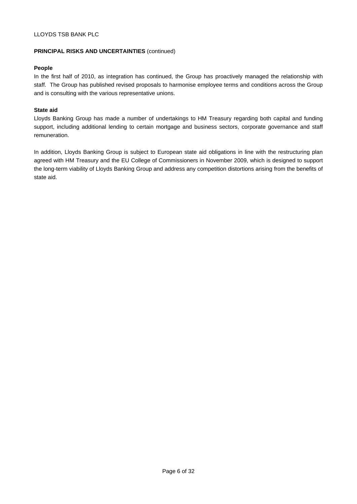## **PRINCIPAL RISKS AND UNCERTAINTIES** (continued)

## **People**

In the first half of 2010, as integration has continued, the Group has proactively managed the relationship with staff. The Group has published revised proposals to harmonise employee terms and conditions across the Group and is consulting with the various representative unions.

## **State aid**

Lloyds Banking Group has made a number of undertakings to HM Treasury regarding both capital and funding support, including additional lending to certain mortgage and business sectors, corporate governance and staff remuneration.

In addition, Lloyds Banking Group is subject to European state aid obligations in line with the restructuring plan agreed with HM Treasury and the EU College of Commissioners in November 2009, which is designed to support the long-term viability of Lloyds Banking Group and address any competition distortions arising from the benefits of state aid.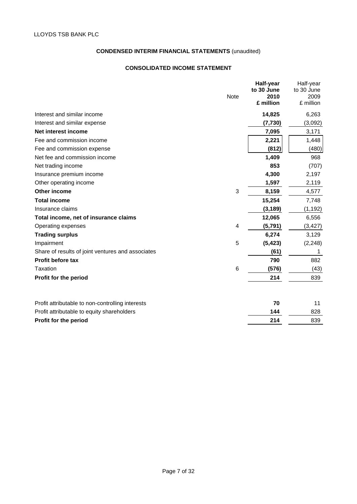## **CONSOLIDATED INCOME STATEMENT**

|                                                   | <b>Note</b>    | Half-year<br>to 30 June<br>2010<br>£ million | Half-year<br>to 30 June<br>2009<br>£ million |
|---------------------------------------------------|----------------|----------------------------------------------|----------------------------------------------|
| Interest and similar income                       |                | 14,825                                       | 6,263                                        |
| Interest and similar expense                      |                | (7, 730)                                     | (3,092)                                      |
| Net interest income                               |                | 7,095                                        | 3,171                                        |
| Fee and commission income                         |                | 2,221                                        | 1,448                                        |
| Fee and commission expense                        |                | (812)                                        | (480)                                        |
| Net fee and commission income                     |                | 1,409                                        | 968                                          |
| Net trading income                                |                | 853                                          | (707)                                        |
| Insurance premium income                          |                | 4,300                                        | 2,197                                        |
| Other operating income                            |                | 1,597                                        | 2,119                                        |
| Other income                                      | 3              | 8,159                                        | 4,577                                        |
| <b>Total income</b>                               |                | 15,254                                       | 7,748                                        |
| Insurance claims                                  |                | (3, 189)                                     | (1, 192)                                     |
| Total income, net of insurance claims             |                | 12,065                                       | 6,556                                        |
| Operating expenses                                | $\overline{4}$ | (5, 791)                                     | (3, 427)                                     |
| <b>Trading surplus</b>                            |                | 6,274                                        | 3,129                                        |
| Impairment                                        | 5              | (5, 423)                                     | (2, 248)                                     |
| Share of results of joint ventures and associates |                | (61)                                         | 1                                            |
| <b>Profit before tax</b>                          |                | 790                                          | 882                                          |
| Taxation                                          | 6              | (576)                                        | (43)                                         |
| Profit for the period                             |                | 214                                          | 839                                          |
| Profit attributable to non-controlling interests  |                | 70                                           | 11                                           |
| Profit attributable to equity shareholders        |                | 144                                          | 828                                          |
| Profit for the period                             |                | 214                                          | 839                                          |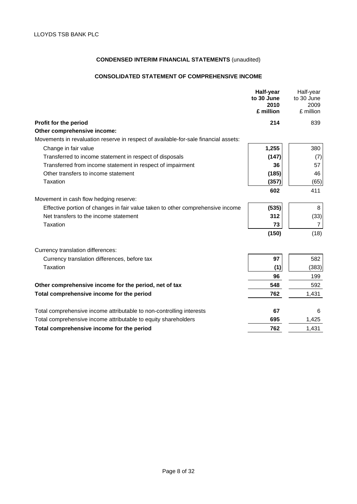## **CONSOLIDATED STATEMENT OF COMPREHENSIVE INCOME**

|                                                                                     | Half-year<br>to 30 June<br>2010<br>£ million | Half-year<br>to 30 June<br>2009<br>£ million |
|-------------------------------------------------------------------------------------|----------------------------------------------|----------------------------------------------|
| Profit for the period                                                               | 214                                          | 839                                          |
| Other comprehensive income:                                                         |                                              |                                              |
| Movements in revaluation reserve in respect of available-for-sale financial assets: |                                              |                                              |
| Change in fair value                                                                | 1,255                                        | 380                                          |
| Transferred to income statement in respect of disposals                             | (147)                                        | (7)                                          |
| Transferred from income statement in respect of impairment                          | 36                                           | 57                                           |
| Other transfers to income statement                                                 | (185)                                        | 46                                           |
| <b>Taxation</b>                                                                     | (357)                                        | (65)                                         |
|                                                                                     | 602                                          | 411                                          |
| Movement in cash flow hedging reserve:                                              |                                              |                                              |
| Effective portion of changes in fair value taken to other comprehensive income      | (535)                                        | 8                                            |
| Net transfers to the income statement                                               | 312                                          | (33)                                         |
| <b>Taxation</b>                                                                     | 73                                           | $\overline{7}$                               |
|                                                                                     | (150)                                        | (18)                                         |
| Currency translation differences:                                                   |                                              |                                              |
| Currency translation differences, before tax                                        | 97                                           | 582                                          |
| Taxation                                                                            | (1)                                          | (383)                                        |
|                                                                                     | 96                                           | 199                                          |
| Other comprehensive income for the period, net of tax                               | 548                                          | 592                                          |
| Total comprehensive income for the period                                           | 762                                          | 1,431                                        |
| Total comprehensive income attributable to non-controlling interests                | 67                                           | 6                                            |
| Total comprehensive income attributable to equity shareholders                      | 695                                          | 1,425                                        |
| Total comprehensive income for the period                                           | 762                                          | 1,431                                        |
|                                                                                     |                                              |                                              |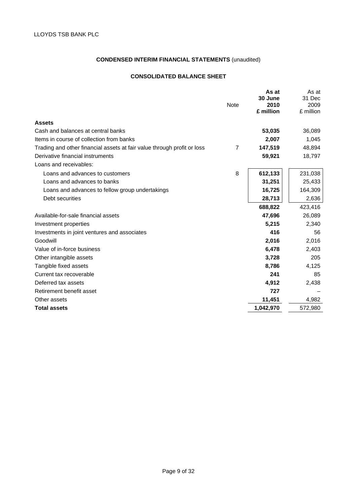## **CONSOLIDATED BALANCE SHEET**

|                                                                         |                | As at<br>30 June | As at<br>31 Dec |
|-------------------------------------------------------------------------|----------------|------------------|-----------------|
|                                                                         | <b>Note</b>    | 2010             | 2009            |
|                                                                         |                | £ million        | £ million       |
| <b>Assets</b>                                                           |                |                  |                 |
| Cash and balances at central banks                                      |                | 53,035           | 36,089          |
| Items in course of collection from banks                                |                | 2,007            | 1,045           |
| Trading and other financial assets at fair value through profit or loss | $\overline{7}$ | 147,519          | 48,894          |
| Derivative financial instruments                                        |                | 59,921           | 18,797          |
| Loans and receivables:                                                  |                |                  |                 |
| Loans and advances to customers                                         | 8              | 612,133          | 231,038         |
| Loans and advances to banks                                             |                | 31,251           | 25,433          |
| Loans and advances to fellow group undertakings                         |                | 16,725           | 164,309         |
| Debt securities                                                         |                | 28,713           | 2,636           |
|                                                                         |                | 688,822          | 423,416         |
| Available-for-sale financial assets                                     |                | 47,696           | 26,089          |
| Investment properties                                                   |                | 5,215            | 2,340           |
| Investments in joint ventures and associates                            |                | 416              | 56              |
| Goodwill                                                                |                | 2,016            | 2,016           |
| Value of in-force business                                              |                | 6,478            | 2,403           |
| Other intangible assets                                                 |                | 3,728            | 205             |
| Tangible fixed assets                                                   |                | 8,786            | 4,125           |
| Current tax recoverable                                                 |                | 241              | 85              |
| Deferred tax assets                                                     |                | 4,912            | 2,438           |
| Retirement benefit asset                                                |                | 727              |                 |
| Other assets                                                            |                | 11,451           | 4,982           |
| <b>Total assets</b>                                                     |                | 1,042,970        | 572,980         |
|                                                                         |                |                  |                 |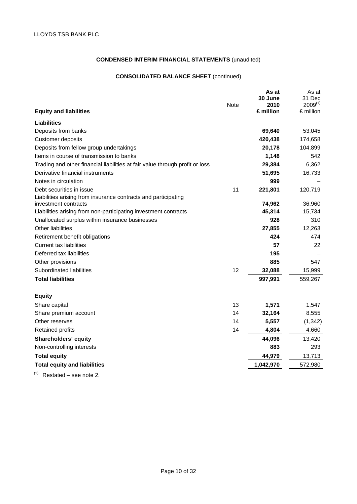## **CONSOLIDATED BALANCE SHEET** (continued)

|                                                                              |             | As at           | As at                  |
|------------------------------------------------------------------------------|-------------|-----------------|------------------------|
|                                                                              | <b>Note</b> | 30 June<br>2010 | 31 Dec<br>$2009^{(1)}$ |
| <b>Equity and liabilities</b>                                                |             | £ million       | £ million              |
| Liabilities                                                                  |             |                 |                        |
| Deposits from banks                                                          |             | 69,640          | 53,045                 |
| <b>Customer deposits</b>                                                     |             | 420,438         | 174,658                |
| Deposits from fellow group undertakings                                      |             | 20,178          | 104,899                |
| Items in course of transmission to banks                                     |             | 1,148           | 542                    |
| Trading and other financial liabilities at fair value through profit or loss |             | 29,384          | 6,362                  |
| Derivative financial instruments                                             |             | 51,695          | 16,733                 |
| Notes in circulation                                                         |             | 999             |                        |
| Debt securities in issue                                                     | 11          | 221,801         | 120,719                |
| Liabilities arising from insurance contracts and participating               |             |                 |                        |
| investment contracts                                                         |             | 74,962          | 36,960                 |
| Liabilities arising from non-participating investment contracts              |             | 45,314          | 15,734                 |
| Unallocated surplus within insurance businesses                              |             | 928             | 310                    |
| Other liabilities                                                            |             | 27,855          | 12,263                 |
| Retirement benefit obligations                                               |             | 424             | 474                    |
| <b>Current tax liabilities</b>                                               |             | 57              | 22                     |
| Deferred tax liabilities                                                     |             | 195             |                        |
| Other provisions                                                             |             | 885             | 547                    |
| Subordinated liabilities                                                     | 12          | 32,088          | 15,999                 |
| <b>Total liabilities</b>                                                     |             | 997,991         | 559,267                |
| <b>Equity</b>                                                                |             |                 |                        |
| Share capital                                                                | 13          | 1,571           | 1,547                  |
| Share premium account                                                        | 14          | 32,164          | 8,555                  |
| Other reserves                                                               | 14          | 5,557           | (1, 342)               |
| <b>Retained profits</b>                                                      | 14          | 4,804           | 4,660                  |
| <b>Shareholders' equity</b>                                                  |             | 44,096          | 13,420                 |
| Non-controlling interests                                                    |             | 883             | 293                    |
| <b>Total equity</b>                                                          |             | 44,979          | 13,713                 |
| <b>Total equity and liabilities</b>                                          |             | 1,042,970       | 572,980                |
| (1)<br>Restated – see note 2.                                                |             |                 |                        |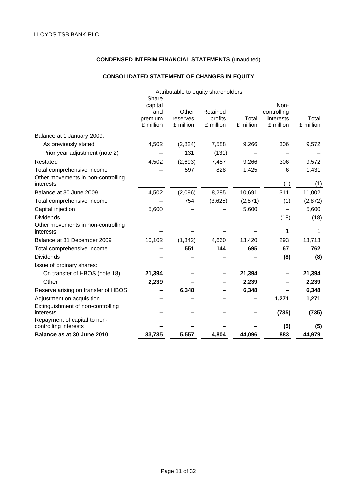## **CONSOLIDATED STATEMENT OF CHANGES IN EQUITY**

| Share<br>Non-<br>capital<br>Retained<br>Other<br>controlling<br>and<br>profits<br>Total<br>premium<br>reserves<br>interests<br>£ million<br>£ million<br>£ million<br>£ million<br>£ million<br>Balance at 1 January 2009:<br>4,502<br>(2,824)<br>306<br>As previously stated<br>7,588<br>9,266<br>Prior year adjustment (note 2)<br>131<br>(131)<br>4,502<br>9,266<br>306<br>(2,693)<br>7,457<br>Restated<br>597<br>828<br>1,425<br>6<br>Total comprehensive income<br>Other movements in non-controlling<br>(1)<br>interests<br>311<br>4,502<br>(2,096)<br>8,285<br>10,691<br>Balance at 30 June 2009<br>754<br>Total comprehensive income<br>(3,625)<br>(2,871)<br>(1)<br>5,600<br>Capital injection<br>5,600<br><b>Dividends</b><br>(18)<br>Other movements in non-controlling<br>1<br>interests<br>10,102<br>(1, 342)<br>4,660<br>13,420<br>293<br>Balance at 31 December 2009<br>551<br>695<br>67<br>144<br>Total comprehensive income<br><b>Dividends</b><br>(8)<br>Issue of ordinary shares:<br>On transfer of HBOS (note 18)<br>21,394<br>21,394<br>Other<br>2,239<br>2,239<br>6,348<br>Reserve arising on transfer of HBOS<br>6,348<br>Adjustment on acquisition<br>1,271<br>Extinguishment of non-controlling<br>(735)<br>interests<br>Repayment of capital to non-<br>(5)<br>controlling interests<br>33,735<br>4,804<br>44,096<br>883<br>Balance as at 30 June 2010<br>5,557 |  | Attributable to equity shareholders |  |                    |
|-------------------------------------------------------------------------------------------------------------------------------------------------------------------------------------------------------------------------------------------------------------------------------------------------------------------------------------------------------------------------------------------------------------------------------------------------------------------------------------------------------------------------------------------------------------------------------------------------------------------------------------------------------------------------------------------------------------------------------------------------------------------------------------------------------------------------------------------------------------------------------------------------------------------------------------------------------------------------------------------------------------------------------------------------------------------------------------------------------------------------------------------------------------------------------------------------------------------------------------------------------------------------------------------------------------------------------------------------------------------------------------------|--|-------------------------------------|--|--------------------|
|                                                                                                                                                                                                                                                                                                                                                                                                                                                                                                                                                                                                                                                                                                                                                                                                                                                                                                                                                                                                                                                                                                                                                                                                                                                                                                                                                                                           |  |                                     |  | Total<br>£ million |
|                                                                                                                                                                                                                                                                                                                                                                                                                                                                                                                                                                                                                                                                                                                                                                                                                                                                                                                                                                                                                                                                                                                                                                                                                                                                                                                                                                                           |  |                                     |  |                    |
|                                                                                                                                                                                                                                                                                                                                                                                                                                                                                                                                                                                                                                                                                                                                                                                                                                                                                                                                                                                                                                                                                                                                                                                                                                                                                                                                                                                           |  |                                     |  | 9,572              |
|                                                                                                                                                                                                                                                                                                                                                                                                                                                                                                                                                                                                                                                                                                                                                                                                                                                                                                                                                                                                                                                                                                                                                                                                                                                                                                                                                                                           |  |                                     |  |                    |
|                                                                                                                                                                                                                                                                                                                                                                                                                                                                                                                                                                                                                                                                                                                                                                                                                                                                                                                                                                                                                                                                                                                                                                                                                                                                                                                                                                                           |  |                                     |  | 9,572              |
|                                                                                                                                                                                                                                                                                                                                                                                                                                                                                                                                                                                                                                                                                                                                                                                                                                                                                                                                                                                                                                                                                                                                                                                                                                                                                                                                                                                           |  |                                     |  | 1,431              |
|                                                                                                                                                                                                                                                                                                                                                                                                                                                                                                                                                                                                                                                                                                                                                                                                                                                                                                                                                                                                                                                                                                                                                                                                                                                                                                                                                                                           |  |                                     |  | (1)                |
|                                                                                                                                                                                                                                                                                                                                                                                                                                                                                                                                                                                                                                                                                                                                                                                                                                                                                                                                                                                                                                                                                                                                                                                                                                                                                                                                                                                           |  |                                     |  | 11,002             |
|                                                                                                                                                                                                                                                                                                                                                                                                                                                                                                                                                                                                                                                                                                                                                                                                                                                                                                                                                                                                                                                                                                                                                                                                                                                                                                                                                                                           |  |                                     |  | (2,872)            |
|                                                                                                                                                                                                                                                                                                                                                                                                                                                                                                                                                                                                                                                                                                                                                                                                                                                                                                                                                                                                                                                                                                                                                                                                                                                                                                                                                                                           |  |                                     |  | 5,600              |
|                                                                                                                                                                                                                                                                                                                                                                                                                                                                                                                                                                                                                                                                                                                                                                                                                                                                                                                                                                                                                                                                                                                                                                                                                                                                                                                                                                                           |  |                                     |  | (18)               |
|                                                                                                                                                                                                                                                                                                                                                                                                                                                                                                                                                                                                                                                                                                                                                                                                                                                                                                                                                                                                                                                                                                                                                                                                                                                                                                                                                                                           |  |                                     |  | 1                  |
|                                                                                                                                                                                                                                                                                                                                                                                                                                                                                                                                                                                                                                                                                                                                                                                                                                                                                                                                                                                                                                                                                                                                                                                                                                                                                                                                                                                           |  |                                     |  | 13,713             |
|                                                                                                                                                                                                                                                                                                                                                                                                                                                                                                                                                                                                                                                                                                                                                                                                                                                                                                                                                                                                                                                                                                                                                                                                                                                                                                                                                                                           |  |                                     |  | 762                |
|                                                                                                                                                                                                                                                                                                                                                                                                                                                                                                                                                                                                                                                                                                                                                                                                                                                                                                                                                                                                                                                                                                                                                                                                                                                                                                                                                                                           |  |                                     |  | (8)                |
|                                                                                                                                                                                                                                                                                                                                                                                                                                                                                                                                                                                                                                                                                                                                                                                                                                                                                                                                                                                                                                                                                                                                                                                                                                                                                                                                                                                           |  |                                     |  |                    |
|                                                                                                                                                                                                                                                                                                                                                                                                                                                                                                                                                                                                                                                                                                                                                                                                                                                                                                                                                                                                                                                                                                                                                                                                                                                                                                                                                                                           |  |                                     |  | 21,394             |
|                                                                                                                                                                                                                                                                                                                                                                                                                                                                                                                                                                                                                                                                                                                                                                                                                                                                                                                                                                                                                                                                                                                                                                                                                                                                                                                                                                                           |  |                                     |  | 2,239              |
|                                                                                                                                                                                                                                                                                                                                                                                                                                                                                                                                                                                                                                                                                                                                                                                                                                                                                                                                                                                                                                                                                                                                                                                                                                                                                                                                                                                           |  |                                     |  | 6,348              |
|                                                                                                                                                                                                                                                                                                                                                                                                                                                                                                                                                                                                                                                                                                                                                                                                                                                                                                                                                                                                                                                                                                                                                                                                                                                                                                                                                                                           |  |                                     |  | 1,271              |
|                                                                                                                                                                                                                                                                                                                                                                                                                                                                                                                                                                                                                                                                                                                                                                                                                                                                                                                                                                                                                                                                                                                                                                                                                                                                                                                                                                                           |  |                                     |  | (735)              |
|                                                                                                                                                                                                                                                                                                                                                                                                                                                                                                                                                                                                                                                                                                                                                                                                                                                                                                                                                                                                                                                                                                                                                                                                                                                                                                                                                                                           |  |                                     |  | (5)                |
|                                                                                                                                                                                                                                                                                                                                                                                                                                                                                                                                                                                                                                                                                                                                                                                                                                                                                                                                                                                                                                                                                                                                                                                                                                                                                                                                                                                           |  |                                     |  | 44,979             |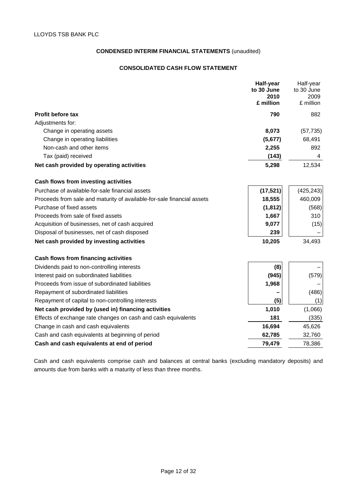## **CONSOLIDATED CASH FLOW STATEMENT**

|                                                                        | Half-year<br>to 30 June<br>2010 | Half-year<br>to 30 June<br>2009 |
|------------------------------------------------------------------------|---------------------------------|---------------------------------|
|                                                                        | £ million                       | £ million                       |
| <b>Profit before tax</b>                                               | 790                             | 882                             |
| Adjustments for:                                                       |                                 |                                 |
| Change in operating assets                                             | 8,073                           | (57, 735)                       |
| Change in operating liabilities                                        | (5,677)                         | 68,491                          |
| Non-cash and other items                                               | 2,255                           | 892                             |
| Tax (paid) received                                                    | (143)                           | 4                               |
| Net cash provided by operating activities                              | 5,298                           | 12,534                          |
| Cash flows from investing activities                                   |                                 |                                 |
| Purchase of available-for-sale financial assets                        | (17, 521)                       | (425, 243)                      |
| Proceeds from sale and maturity of available-for-sale financial assets | 18,555                          | 460,009                         |
| Purchase of fixed assets                                               | (1, 812)                        | (568)                           |
| Proceeds from sale of fixed assets                                     | 1,667                           | 310                             |
| Acquisition of businesses, net of cash acquired                        | 9,077                           | (15)                            |
| Disposal of businesses, net of cash disposed                           | 239                             |                                 |
| Net cash provided by investing activities                              | 10,205                          | 34,493                          |
| Cash flows from financing activities                                   |                                 |                                 |
| Dividends paid to non-controlling interests                            | (8)                             |                                 |
| Interest paid on subordinated liabilities                              | (945)                           | (579)                           |
| Proceeds from issue of subordinated liabilities                        | 1,968                           |                                 |
| Repayment of subordinated liabilities                                  |                                 | (486)                           |
| Repayment of capital to non-controlling interests                      | (5)                             | (1)                             |
| Net cash provided by (used in) financing activities                    | 1,010                           | (1,066)                         |
| Effects of exchange rate changes on cash and cash equivalents          | 181                             | (335)                           |
| Change in cash and cash equivalents                                    | 16,694                          | 45,626                          |
| Cash and cash equivalents at beginning of period                       | 62,785                          | 32,760                          |
| Cash and cash equivalents at end of period                             | 79,479                          | 78,386                          |

Cash and cash equivalents comprise cash and balances at central banks (excluding mandatory deposits) and amounts due from banks with a maturity of less than three months.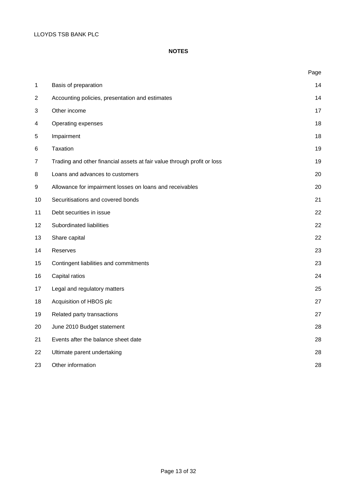## **NOTES**

|                  |                                                                         | Page |
|------------------|-------------------------------------------------------------------------|------|
| 1                | Basis of preparation                                                    | 14   |
| $\overline{2}$   | Accounting policies, presentation and estimates                         | 14   |
| 3                | Other income                                                            | 17   |
| 4                | Operating expenses                                                      | 18   |
| 5                | Impairment                                                              | 18   |
| 6                | Taxation                                                                | 19   |
| 7                | Trading and other financial assets at fair value through profit or loss | 19   |
| 8                | Loans and advances to customers                                         | 20   |
| $\boldsymbol{9}$ | Allowance for impairment losses on loans and receivables                | 20   |
| 10               | Securitisations and covered bonds                                       | 21   |
| 11               | Debt securities in issue                                                | 22   |
| 12               | Subordinated liabilities                                                | 22   |
| 13               | Share capital                                                           | 22   |
| 14               | Reserves                                                                | 23   |
| 15               | Contingent liabilities and commitments                                  | 23   |
| 16               | Capital ratios                                                          | 24   |
| 17               | Legal and regulatory matters                                            | 25   |
| 18               | Acquisition of HBOS plc                                                 | 27   |
| 19               | Related party transactions                                              | 27   |
| 20               | June 2010 Budget statement                                              | 28   |
| 21               | Events after the balance sheet date                                     | 28   |
| 22               | Ultimate parent undertaking                                             | 28   |
| 23               | Other information                                                       | 28   |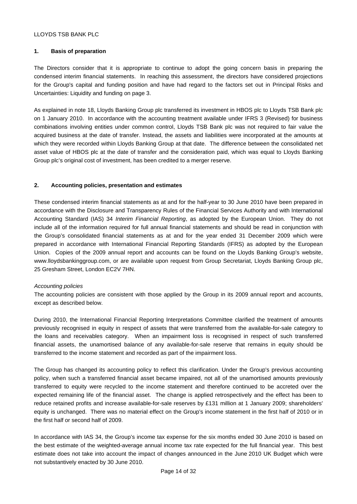## **1. Basis of preparation**

The Directors consider that it is appropriate to continue to adopt the going concern basis in preparing the condensed interim financial statements. In reaching this assessment, the directors have considered projections for the Group's capital and funding position and have had regard to the factors set out in Principal Risks and Uncertainties: Liquidity and funding on page 3.

As explained in note 18, Lloyds Banking Group plc transferred its investment in HBOS plc to Lloyds TSB Bank plc on 1 January 2010. In accordance with the accounting treatment available under IFRS 3 (Revised) for business combinations involving entities under common control, Lloyds TSB Bank plc was not required to fair value the acquired business at the date of transfer. Instead, the assets and liabilities were incorporated at the amounts at which they were recorded within Lloyds Banking Group at that date. The difference between the consolidated net asset value of HBOS plc at the date of transfer and the consideration paid, which was equal to Lloyds Banking Group plc's original cost of investment, has been credited to a merger reserve.

## **2. Accounting policies, presentation and estimates**

These condensed interim financial statements as at and for the half-year to 30 June 2010 have been prepared in accordance with the Disclosure and Transparency Rules of the Financial Services Authority and with International Accounting Standard (IAS) 34 *Interim Financial Reporting*, as adopted by the European Union. They do not include all of the information required for full annual financial statements and should be read in conjunction with the Group's consolidated financial statements as at and for the year ended 31 December 2009 which were prepared in accordance with International Financial Reporting Standards (IFRS) as adopted by the European Union. Copies of the 2009 annual report and accounts can be found on the Lloyds Banking Group's website, www.lloydsbankinggroup.com, or are available upon request from Group Secretariat, Lloyds Banking Group plc, 25 Gresham Street, London EC2V 7HN.

#### *Accounting policies*

The accounting policies are consistent with those applied by the Group in its 2009 annual report and accounts, except as described below.

During 2010, the International Financial Reporting Interpretations Committee clarified the treatment of amounts previously recognised in equity in respect of assets that were transferred from the available-for-sale category to the loans and receivables category. When an impairment loss is recognised in respect of such transferred financial assets, the unamortised balance of any available-for-sale reserve that remains in equity should be transferred to the income statement and recorded as part of the impairment loss.

The Group has changed its accounting policy to reflect this clarification. Under the Group's previous accounting policy, when such a transferred financial asset became impaired, not all of the unamortised amounts previously transferred to equity were recycled to the income statement and therefore continued to be accreted over the expected remaining life of the financial asset. The change is applied retrospectively and the effect has been to reduce retained profits and increase available-for-sale reserves by £131 million at 1 January 2009; shareholders' equity is unchanged. There was no material effect on the Group's income statement in the first half of 2010 or in the first half or second half of 2009.

In accordance with IAS 34, the Group's income tax expense for the six months ended 30 June 2010 is based on the best estimate of the weighted-average annual income tax rate expected for the full financial year. This best estimate does not take into account the impact of changes announced in the June 2010 UK Budget which were not substantively enacted by 30 June 2010.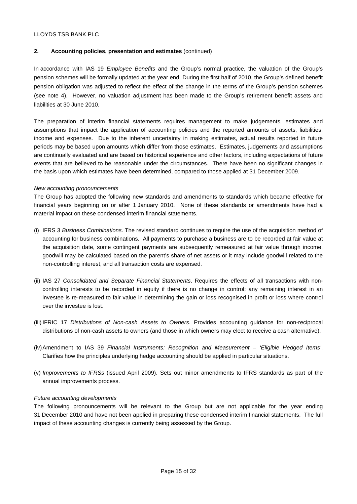## **2. Accounting policies, presentation and estimates** (continued)

In accordance with IAS 19 *Employee Benefits* and the Group's normal practice, the valuation of the Group's pension schemes will be formally updated at the year end. During the first half of 2010, the Group's defined benefit pension obligation was adjusted to reflect the effect of the change in the terms of the Group's pension schemes (see note 4). However, no valuation adjustment has been made to the Group's retirement benefit assets and liabilities at 30 June 2010.

The preparation of interim financial statements requires management to make judgements, estimates and assumptions that impact the application of accounting policies and the reported amounts of assets, liabilities, income and expenses. Due to the inherent uncertainty in making estimates, actual results reported in future periods may be based upon amounts which differ from those estimates. Estimates, judgements and assumptions are continually evaluated and are based on historical experience and other factors, including expectations of future events that are believed to be reasonable under the circumstances. There have been no significant changes in the basis upon which estimates have been determined, compared to those applied at 31 December 2009.

## *New accounting pronouncements*

The Group has adopted the following new standards and amendments to standards which became effective for financial years beginning on or after 1 January 2010. None of these standards or amendments have had a material impact on these condensed interim financial statements.

- (i) IFRS 3 *Business Combinations*. The revised standard continues to require the use of the acquisition method of accounting for business combinations. All payments to purchase a business are to be recorded at fair value at the acquisition date, some contingent payments are subsequently remeasured at fair value through income, goodwill may be calculated based on the parent's share of net assets or it may include goodwill related to the non-controlling interest, and all transaction costs are expensed.
- (ii) IAS 27 *Consolidated and Separate Financial Statements*. Requires the effects of all transactions with noncontrolling interests to be recorded in equity if there is no change in control; any remaining interest in an investee is re-measured to fair value in determining the gain or loss recognised in profit or loss where control over the investee is lost.
- (iii) IFRIC 17 *Distributions of Non-cash Assets to Owners*. Provides accounting guidance for non-reciprocal distributions of non-cash assets to owners (and those in which owners may elect to receive a cash alternative).
- (iv) Amendment to IAS 39 *Financial Instruments: Recognition and Measurement 'Eligible Hedged Items'*. Clarifies how the principles underlying hedge accounting should be applied in particular situations.
- (v) *Improvements to IFRSs* (issued April 2009). Sets out minor amendments to IFRS standards as part of the annual improvements process.

#### *Future accounting developments*

The following pronouncements will be relevant to the Group but are not applicable for the year ending 31 December 2010 and have not been applied in preparing these condensed interim financial statements. The full impact of these accounting changes is currently being assessed by the Group.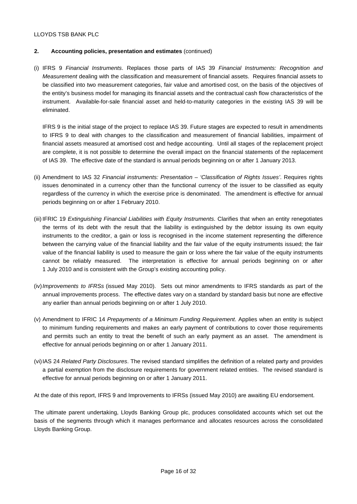## **2. Accounting policies, presentation and estimates** (continued)

(i) IFRS 9 *Financial Instruments*. Replaces those parts of IAS 39 *Financial Instruments: Recognition and Measurement* dealing with the classification and measurement of financial assets. Requires financial assets to be classified into two measurement categories, fair value and amortised cost, on the basis of the objectives of the entity's business model for managing its financial assets and the contractual cash flow characteristics of the instrument. Available-for-sale financial asset and held-to-maturity categories in the existing IAS 39 will be eliminated.

 IFRS 9 is the initial stage of the project to replace IAS 39. Future stages are expected to result in amendments to IFRS 9 to deal with changes to the classification and measurement of financial liabilities, impairment of financial assets measured at amortised cost and hedge accounting. Until all stages of the replacement project are complete, it is not possible to determine the overall impact on the financial statements of the replacement of IAS 39. The effective date of the standard is annual periods beginning on or after 1 January 2013.

- (ii) Amendment to IAS 32 *Financial instruments: Presentation 'Classification of Rights Issues'*. Requires rights issues denominated in a currency other than the functional currency of the issuer to be classified as equity regardless of the currency in which the exercise price is denominated. The amendment is effective for annual periods beginning on or after 1 February 2010.
- (iii) IFRIC 19 *Extinguishing Financial Liabilities with Equity Instruments*. Clarifies that when an entity renegotiates the terms of its debt with the result that the liability is extinguished by the debtor issuing its own equity instruments to the creditor, a gain or loss is recognised in the income statement representing the difference between the carrying value of the financial liability and the fair value of the equity instruments issued; the fair value of the financial liability is used to measure the gain or loss where the fair value of the equity instruments cannot be reliably measured. The interpretation is effective for annual periods beginning on or after 1 July 2010 and is consistent with the Group's existing accounting policy.
- (iv) *Improvements to IFRSs* (issued May 2010). Sets out minor amendments to IFRS standards as part of the annual improvements process. The effective dates vary on a standard by standard basis but none are effective any earlier than annual periods beginning on or after 1 July 2010.
- (v) Amendment to IFRIC 14 *Prepayments of a Minimum Funding Requirement*. Applies when an entity is subject to minimum funding requirements and makes an early payment of contributions to cover those requirements and permits such an entity to treat the benefit of such an early payment as an asset. The amendment is effective for annual periods beginning on or after 1 January 2011.
- (vi) IAS 24 *Related Party Disclosures*. The revised standard simplifies the definition of a related party and provides a partial exemption from the disclosure requirements for government related entities. The revised standard is effective for annual periods beginning on or after 1 January 2011.

At the date of this report, IFRS 9 and Improvements to IFRSs (issued May 2010) are awaiting EU endorsement.

The ultimate parent undertaking, Lloyds Banking Group plc, produces consolidated accounts which set out the basis of the segments through which it manages performance and allocates resources across the consolidated Lloyds Banking Group.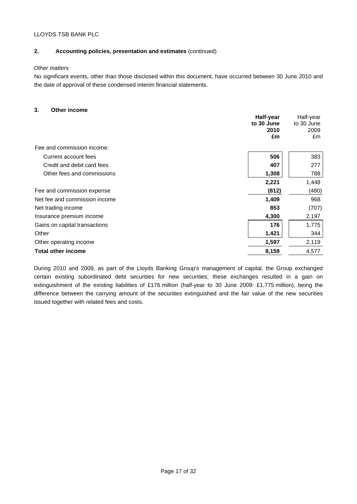## **2. Accounting policies, presentation and estimates** (continued)

#### *Other matters*

No significant events, other than those disclosed within this document, have occurred between 30 June 2010 and the date of approval of these condensed interim financial statements.

## **3. Other income**

| טוווטטווו וטוווט              | Half-year<br>to 30 June<br>2010<br>£m | Half-year<br>to 30 June<br>2009<br>£m |
|-------------------------------|---------------------------------------|---------------------------------------|
| Fee and commission income:    |                                       |                                       |
| Current account fees          | 506                                   | 383                                   |
| Credit and debit card fees    | 407                                   | 277                                   |
| Other fees and commissions    | 1,308                                 | 788                                   |
|                               | 2,221                                 | 1,448                                 |
| Fee and commission expense    | (812)                                 | (480)                                 |
| Net fee and commission income | 1,409                                 | 968                                   |
| Net trading income            | 853                                   | (707)                                 |
| Insurance premium income      | 4,300                                 | 2,197                                 |
| Gains on capital transactions | 176                                   | 1,775                                 |
| Other                         | 1,421                                 | 344                                   |
| Other operating income        | 1,597                                 | 2,119                                 |
| <b>Total other income</b>     | 8,159                                 | 4,577                                 |

During 2010 and 2009, as part of the Lloyds Banking Group's management of capital, the Group exchanged certain existing subordinated debt securities for new securities; these exchanges resulted in a gain on extinguishment of the existing liabilities of £176 million (half-year to 30 June 2009: £1,775 million), being the difference between the carrying amount of the securities extinguished and the fair value of the new securities issued together with related fees and costs.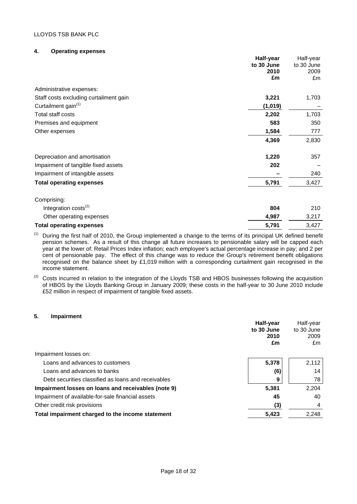## **4. Operating expenses**

|                                        | Half-year<br>to 30 June<br>2010<br>£m | Half-year<br>to 30 June<br>2009<br>£m |
|----------------------------------------|---------------------------------------|---------------------------------------|
| Administrative expenses:               |                                       |                                       |
| Staff costs excluding curtailment gain | 3,221                                 | 1,703                                 |
| Curtailment gain <sup>(1)</sup>        | (1,019)                               |                                       |
| Total staff costs                      | 2,202                                 | 1,703                                 |
| Premises and equipment                 | 583                                   | 350                                   |
| Other expenses                         | 1,584                                 | 777                                   |
|                                        | 4,369                                 | 2,830                                 |
| Depreciation and amortisation          | 1,220                                 | 357                                   |
| Impairment of tangible fixed assets    | 202                                   |                                       |
| Impairment of intangible assets        |                                       | 240                                   |
| <b>Total operating expenses</b>        | 5,791                                 | 3,427                                 |
| Comprising:                            |                                       |                                       |
| Integration costs <sup>(2)</sup>       | 804                                   | 210                                   |
| Other operating expenses               | 4,987                                 | 3,217                                 |
| <b>Total operating expenses</b>        | 5,791                                 | 3,427                                 |

(1) During the first half of 2010, the Group implemented a change to the terms of its principal UK defined benefit pension schemes. As a result of this change all future increases to pensionable salary will be capped each year at the lower of: Retail Prices Index inflation; each employee's actual percentage increase in pay; and 2 per cent of pensionable pay. The effect of this change was to reduce the Group's retirement benefit obligations recognised on the balance sheet by £1,019 million with a corresponding curtailment gain recognised in the income statement.

#### **5. Impairment**

|                                                     | Half-year<br>to 30 June<br>2010 | Half-year<br>to 30 June<br>2009 |
|-----------------------------------------------------|---------------------------------|---------------------------------|
|                                                     | £m                              | £m                              |
| Impairment losses on:                               |                                 |                                 |
| Loans and advances to customers                     | 5,378                           | 2,112                           |
| Loans and advances to banks                         | (6)                             | 14                              |
| Debt securities classified as loans and receivables | 9                               | 78                              |
| Impairment losses on loans and receivables (note 9) | 5,381                           | 2,204                           |
| Impairment of available-for-sale financial assets   | 45                              | 40                              |
| Other credit risk provisions                        | (3)                             | 4                               |
| Total impairment charged to the income statement    | 5,423                           | 2,248                           |

<sup>&</sup>lt;sup>(2)</sup> Costs incurred in relation to the integration of the Lloyds TSB and HBOS businesses following the acquisition of HBOS by the Lloyds Banking Group in January 2009; these costs in the half-year to 30 June 2010 include £52 million in respect of impairment of tangible fixed assets.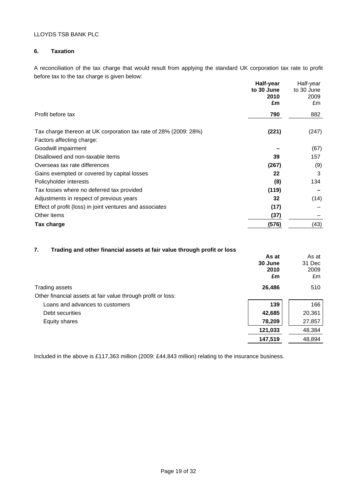## **6. Taxation**

A reconciliation of the tax charge that would result from applying the standard UK corporation tax rate to profit before tax to the tax charge is given below:

|                                                                  | Half-year<br>to 30 June | Half-year<br>to 30 June |
|------------------------------------------------------------------|-------------------------|-------------------------|
|                                                                  | 2010                    | 2009                    |
|                                                                  | £m                      | £m                      |
| Profit before tax                                                | 790                     | 882                     |
| Tax charge thereon at UK corporation tax rate of 28% (2009: 28%) | (221)                   | (247)                   |
| Factors affecting charge:                                        |                         |                         |
| Goodwill impairment                                              |                         | (67)                    |
| Disallowed and non-taxable items                                 | 39                      | 157                     |
| Overseas tax rate differences                                    | (267)                   | (9)                     |
| Gains exempted or covered by capital losses                      | 22                      | 3                       |
| Policyholder interests                                           | (8)                     | 134                     |
| Tax losses where no deferred tax provided                        | (119)                   |                         |
| Adjustments in respect of previous years                         | 32                      | (14)                    |
| Effect of profit (loss) in joint ventures and associates         | (17)                    |                         |
| Other items                                                      | (37)                    |                         |
| Tax charge                                                       | (576)                   | (43)                    |

## **7. Trading and other financial assets at fair value through profit or loss**

|                                                              | As at<br>30 June<br>2010<br>£m | As at<br>31 Dec<br>2009<br>£m |
|--------------------------------------------------------------|--------------------------------|-------------------------------|
| Trading assets                                               | 26,486                         | 510                           |
| Other financial assets at fair value through profit or loss: |                                |                               |
| Loans and advances to customers                              | 139                            | 166                           |
| Debt securities                                              | 42,685                         | 20,361                        |
| Equity shares                                                | 78,209                         | 27,857                        |
|                                                              | 121,033                        | 48,384                        |
|                                                              | 147,519                        | 48,894                        |

Included in the above is £117,363 million (2009: £44,843 million) relating to the insurance business.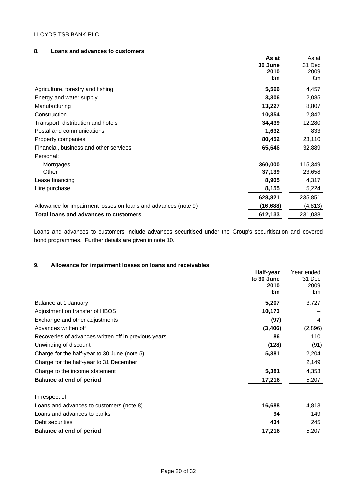## **8. Loans and advances to customers**

|                                                                | As at     | As at    |
|----------------------------------------------------------------|-----------|----------|
|                                                                | 30 June   | 31 Dec   |
|                                                                | 2010      | 2009     |
|                                                                | £m        | £m       |
| Agriculture, forestry and fishing                              | 5,566     | 4,457    |
| Energy and water supply                                        | 3,306     | 2,085    |
| Manufacturing                                                  | 13,227    | 8,807    |
| Construction                                                   | 10,354    | 2,842    |
| Transport, distribution and hotels                             | 34,439    | 12,280   |
| Postal and communications                                      | 1,632     | 833      |
| Property companies                                             | 80,452    | 23,110   |
| Financial, business and other services                         | 65,646    | 32,889   |
| Personal:                                                      |           |          |
| Mortgages                                                      | 360,000   | 115,349  |
| Other                                                          | 37,139    | 23,658   |
| Lease financing                                                | 8,905     | 4,317    |
| Hire purchase                                                  | 8,155     | 5,224    |
|                                                                | 628,821   | 235,851  |
| Allowance for impairment losses on loans and advances (note 9) | (16, 688) | (4, 813) |
| Total loans and advances to customers                          | 612,133   | 231,038  |

Loans and advances to customers include advances securitised under the Group's securitisation and covered bond programmes. Further details are given in note 10.

## **9. Allowance for impairment losses on loans and receivables**

|                                                      | Half-year<br>to 30 June<br>2010<br>£m | Year ended<br>31 Dec<br>2009<br>£m |
|------------------------------------------------------|---------------------------------------|------------------------------------|
| Balance at 1 January                                 | 5,207                                 | 3,727                              |
| Adjustment on transfer of HBOS                       | 10,173                                |                                    |
| Exchange and other adjustments                       | (97)                                  | 4                                  |
| Advances written off                                 | (3, 406)                              | (2,896)                            |
| Recoveries of advances written off in previous years | 86                                    | 110                                |
| Unwinding of discount                                | (128)                                 | (91)                               |
| Charge for the half-year to 30 June (note 5)         | 5,381                                 | 2,204                              |
| Charge for the half-year to 31 December              |                                       | 2,149                              |
| Charge to the income statement                       | 5,381                                 | 4,353                              |
| <b>Balance at end of period</b>                      | 17,216                                | 5,207                              |
| In respect of:                                       |                                       |                                    |
| Loans and advances to customers (note 8)             | 16,688                                | 4,813                              |
| Loans and advances to banks                          | 94                                    | 149                                |
| Debt securities                                      | 434                                   | 245                                |
| <b>Balance at end of period</b>                      | 17,216                                | 5,207                              |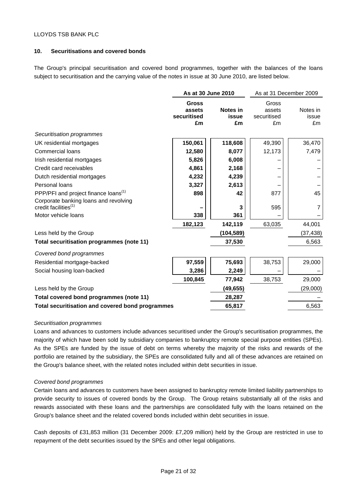## **10. Securitisations and covered bonds**

The Group's principal securitisation and covered bond programmes, together with the balances of the loans subject to securitisation and the carrying value of the notes in issue at 30 June 2010, are listed below.

|                                                                           | As at 30 June 2010                          |                         | As at 31 December 2009               |                         |
|---------------------------------------------------------------------------|---------------------------------------------|-------------------------|--------------------------------------|-------------------------|
|                                                                           | <b>Gross</b><br>assets<br>securitised<br>£m | Notes in<br>issue<br>£m | Gross<br>assets<br>securitised<br>£m | Notes in<br>issue<br>£m |
| Securitisation programmes                                                 |                                             |                         |                                      |                         |
| UK residential mortgages                                                  | 150,061                                     | 118,608                 | 49,390                               | 36,470                  |
| <b>Commercial loans</b>                                                   | 12,580                                      | 8,077                   | 12,173                               | 7,479                   |
| Irish residential mortgages                                               | 5,826                                       | 6,008                   |                                      |                         |
| Credit card receivables                                                   | 4,861                                       | 2,168                   |                                      |                         |
| Dutch residential mortgages                                               | 4,232                                       | 4,239                   |                                      |                         |
| Personal loans                                                            | 3,327                                       | 2,613                   |                                      |                         |
| PPP/PFI and project finance loans <sup>(1)</sup>                          | 898                                         | 42                      | 877                                  | 45                      |
| Corporate banking loans and revolving<br>credit facilities <sup>(1)</sup> |                                             | 3                       | 595                                  | 7                       |
| Motor vehicle loans                                                       | 338                                         | 361                     |                                      |                         |
|                                                                           | 182,123                                     | 142,119                 | 63,035                               | 44,001                  |
| Less held by the Group                                                    |                                             | (104, 589)              |                                      | (37, 438)               |
| Total securitisation programmes (note 11)                                 |                                             | 37,530                  |                                      | 6,563                   |
| Covered bond programmes                                                   |                                             |                         |                                      |                         |
| Residential mortgage-backed                                               | 97,559                                      | 75,693                  | 38,753                               | 29,000                  |
| Social housing loan-backed                                                | 3,286                                       | 2,249                   |                                      |                         |
|                                                                           | 100,845                                     | 77,942                  | 38,753                               | 29,000                  |
| Less held by the Group                                                    |                                             | (49, 655)               |                                      | (29,000)                |
| Total covered bond programmes (note 11)                                   |                                             | 28,287                  |                                      |                         |
| Total securitisation and covered bond programmes                          |                                             | 65,817                  |                                      | 6,563                   |

#### *Securitisation programmes*

Loans and advances to customers include advances securitised under the Group's securitisation programmes, the majority of which have been sold by subsidiary companies to bankruptcy remote special purpose entities (SPEs). As the SPEs are funded by the issue of debt on terms whereby the majority of the risks and rewards of the portfolio are retained by the subsidiary, the SPEs are consolidated fully and all of these advances are retained on the Group's balance sheet, with the related notes included within debt securities in issue.

#### *Covered bond programmes*

Certain loans and advances to customers have been assigned to bankruptcy remote limited liability partnerships to provide security to issues of covered bonds by the Group. The Group retains substantially all of the risks and rewards associated with these loans and the partnerships are consolidated fully with the loans retained on the Group's balance sheet and the related covered bonds included within debt securities in issue.

Cash deposits of £31,853 million (31 December 2009: £7,209 million) held by the Group are restricted in use to repayment of the debt securities issued by the SPEs and other legal obligations.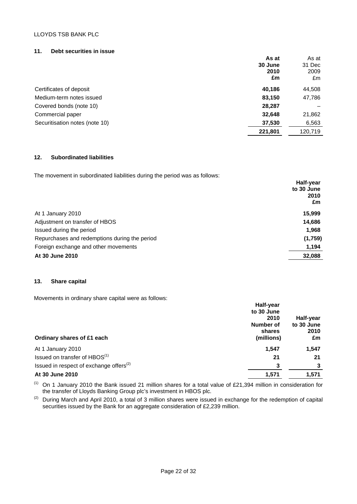#### **11. Debt securities in issue**

|                                | As at<br>30 June<br>2010<br>£m | As at<br>31 Dec<br>2009<br>£m |
|--------------------------------|--------------------------------|-------------------------------|
| Certificates of deposit        | 40,186                         | 44,508                        |
| Medium-term notes issued       | 83,150                         | 47,786                        |
| Covered bonds (note 10)        | 28,287                         |                               |
| Commercial paper               | 32,648                         | 21,862                        |
| Securitisation notes (note 10) | 37,530                         | 6,563                         |
|                                | 221,801                        | 120,719                       |

## **12. Subordinated liabilities**

The movement in subordinated liabilities during the period was as follows:

| The motomers in capacitanial and maximized adming the police free ad follower. | Half-year<br>to 30 June<br>2010<br>£m |
|--------------------------------------------------------------------------------|---------------------------------------|
| At 1 January 2010                                                              | 15,999                                |
| Adjustment on transfer of HBOS                                                 | 14,686                                |
| Issued during the period                                                       | 1,968                                 |
| Repurchases and redemptions during the period                                  | (1,759)                               |
| Foreign exchange and other movements                                           | 1,194                                 |
| At 30 June 2010                                                                | 32,088                                |

## **13. Share capital**

Movements in ordinary share capital were as follows:

|                                               | Half-year  |            |
|-----------------------------------------------|------------|------------|
|                                               | to 30 June |            |
|                                               | 2010       | Half-year  |
|                                               | Number of  | to 30 June |
|                                               | shares     | 2010       |
| Ordinary shares of £1 each                    | (millions) | £m         |
| At 1 January 2010                             | 1,547      | 1,547      |
| Issued on transfer of HBOS <sup>(1)</sup>     | 21         | 21         |
| Issued in respect of exchange offers $^{(2)}$ | 3          | 3          |
| At 30 June 2010                               | 1,571      | 1,571      |

<sup>(1)</sup> On 1 January 2010 the Bank issued 21 million shares for a total value of £21,394 million in consideration for the transfer of Lloyds Banking Group plc's investment in HBOS plc.

 $(2)$  During March and April 2010, a total of 3 million shares were issued in exchange for the redemption of capital securities issued by the Bank for an aggregate consideration of £2,239 million.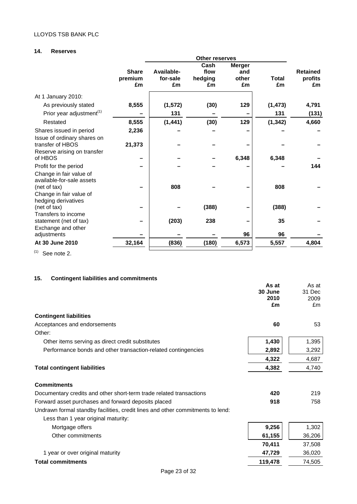## **14. Reserves**

|                                                                                                                        | Other reserves |            |         |               |          |                 |
|------------------------------------------------------------------------------------------------------------------------|----------------|------------|---------|---------------|----------|-----------------|
|                                                                                                                        |                |            | Cash    | <b>Merger</b> |          |                 |
|                                                                                                                        | <b>Share</b>   | Available- | flow    | and           |          | <b>Retained</b> |
|                                                                                                                        | premium        | for-sale   | hedging | other         | Total    | profits         |
|                                                                                                                        | £m             | £m         | £m      | £m            | £m       | £m              |
| At 1 January 2010:                                                                                                     |                |            |         |               |          |                 |
| As previously stated                                                                                                   | 8,555          | (1, 572)   | (30)    | 129           | (1, 473) | 4,791           |
| Prior year adjustment <sup>(1)</sup>                                                                                   |                | 131        |         |               | 131      | (131)           |
| Restated                                                                                                               | 8,555          | (1, 441)   | (30)    | 129           | (1, 342) | 4,660           |
| Shares issued in period                                                                                                | 2,236          |            |         |               |          |                 |
| Issue of ordinary shares on<br>transfer of HBOS                                                                        | 21,373         |            |         |               |          |                 |
| Reserve arising on transfer<br>of HBOS                                                                                 |                |            |         | 6,348         | 6,348    |                 |
| Profit for the period                                                                                                  |                |            |         |               |          | 144             |
| Change in fair value of<br>available-for-sale assets<br>(net of tax)<br>Change in fair value of<br>hedging derivatives |                | 808        |         |               | 808      |                 |
| (net of tax)                                                                                                           |                |            | (388)   |               | (388)    |                 |
| Transfers to income<br>statement (net of tax)<br>Exchange and other                                                    |                | (203)      | 238     |               | 35       |                 |
| adjustments                                                                                                            |                |            |         | 96            | 96       |                 |
| At 30 June 2010                                                                                                        | 32,164         | (836)      | (180)   | 6,573         | 5,557    | 4,804           |
|                                                                                                                        |                |            |         |               |          |                 |

 $(1)$  See note 2.

## **15. Contingent liabilities and commitments**

|                                                                                | As at<br>30 June<br>2010<br>£m | As at<br>31 Dec<br>2009<br>Em |
|--------------------------------------------------------------------------------|--------------------------------|-------------------------------|
| <b>Contingent liabilities</b>                                                  |                                |                               |
| Acceptances and endorsements                                                   | 60                             | 53                            |
| Other:                                                                         |                                |                               |
| Other items serving as direct credit substitutes                               | 1,430                          | 1,395                         |
| Performance bonds and other transaction-related contingencies                  | 2,892                          | 3,292                         |
|                                                                                | 4,322                          | 4,687                         |
| <b>Total contingent liabilities</b>                                            | 4,382                          | 4,740                         |
| <b>Commitments</b>                                                             |                                |                               |
| Documentary credits and other short-term trade related transactions            | 420                            | 219                           |
| Forward asset purchases and forward deposits placed                            | 918                            | 758                           |
| Undrawn formal standby facilities, credit lines and other commitments to lend: |                                |                               |
| Less than 1 year original maturity:                                            |                                |                               |
| Mortgage offers                                                                | 9,256                          | 1,302                         |
| Other commitments                                                              | 61,155                         | 36,206                        |
|                                                                                | 70,411                         | 37,508                        |
| 1 year or over original maturity                                               | 47,729                         | 36,020                        |
| <b>Total commitments</b>                                                       | 119,478                        | 74,505                        |
|                                                                                |                                |                               |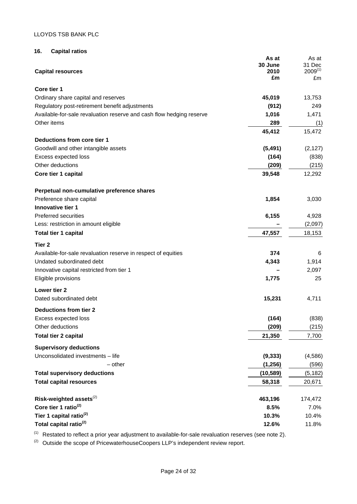## **16. Capital ratios**

|                                                                      | As at         | As at              |
|----------------------------------------------------------------------|---------------|--------------------|
|                                                                      | 30 June       | 31 Dec             |
| <b>Capital resources</b>                                             | 2010<br>£m    | $2009^{(1)}$<br>£m |
| Core tier 1                                                          |               |                    |
| Ordinary share capital and reserves                                  | 45,019        | 13,753             |
|                                                                      |               |                    |
| Regulatory post-retirement benefit adjustments                       | (912)         | 249                |
| Available-for-sale revaluation reserve and cash flow hedging reserve | 1,016         | 1,471              |
| Other items                                                          | 289<br>45,412 | (1)<br>15,472      |
| Deductions from core tier 1                                          |               |                    |
| Goodwill and other intangible assets                                 | (5, 491)      | (2, 127)           |
| Excess expected loss                                                 | (164)         | (838)              |
| Other deductions                                                     | (209)         | (215)              |
| Core tier 1 capital                                                  | 39,548        | 12,292             |
| Perpetual non-cumulative preference shares                           |               |                    |
| Preference share capital                                             | 1,854         | 3,030              |
| Innovative tier 1                                                    |               |                    |
| <b>Preferred securities</b>                                          | 6,155         | 4,928              |
| Less: restriction in amount eligible                                 |               | (2,097)            |
| Total tier 1 capital                                                 | 47,557        | 18,153             |
|                                                                      |               |                    |
| Tier 2                                                               |               |                    |
| Available-for-sale revaluation reserve in respect of equities        | 374           | 6                  |
| Undated subordinated debt                                            | 4,343         | 1,914              |
| Innovative capital restricted from tier 1                            |               | 2,097              |
| Eligible provisions                                                  | 1,775         | 25                 |
| Lower tier 2                                                         |               |                    |
| Dated subordinated debt                                              | 15,231        | 4,711              |
| <b>Deductions from tier 2</b>                                        |               |                    |
| Excess expected loss                                                 | (164)         | (838)              |
| Other deductions                                                     | (209)         | (215)              |
| <b>Total tier 2 capital</b>                                          | 21,350        | 7,700              |
| <b>Supervisory deductions</b>                                        |               |                    |
| Unconsolidated investments - life                                    | (9, 333)      | (4, 586)           |
| $-$ other                                                            | (1, 256)      | (596)              |
| <b>Total supervisory deductions</b>                                  | (10, 589)     | (5, 182)           |
| <b>Total capital resources</b>                                       | 58,318        | 20,671             |
| Risk-weighted assets $^{(2)}$                                        | 463,196       | 174,472            |
| Core tier 1 ratio <sup>(2)</sup>                                     | 8.5%          | 7.0%               |
| Tier 1 capital ratio <sup>(2)</sup>                                  | 10.3%         | 10.4%              |
| Total capital ratio <sup>(2)</sup>                                   | 12.6%         | 11.8%              |
|                                                                      |               |                    |

 $(1)$  Restated to reflect a prior year adjustment to available-for-sale revaluation reserves (see note 2).

 $(2)$  Outside the scope of PricewaterhouseCoopers LLP's independent review report.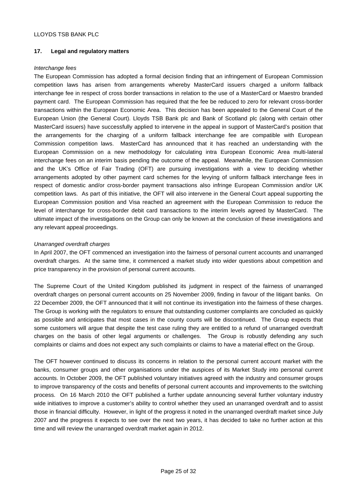## **17. Legal and regulatory matters**

## *Interchange fees*

The European Commission has adopted a formal decision finding that an infringement of European Commission competition laws has arisen from arrangements whereby MasterCard issuers charged a uniform fallback interchange fee in respect of cross border transactions in relation to the use of a MasterCard or Maestro branded payment card. The European Commission has required that the fee be reduced to zero for relevant cross-border transactions within the European Economic Area. This decision has been appealed to the General Court of the European Union (the General Court). Lloyds TSB Bank plc and Bank of Scotland plc (along with certain other MasterCard issuers) have successfully applied to intervene in the appeal in support of MasterCard's position that the arrangements for the charging of a uniform fallback interchange fee are compatible with European Commission competition laws. MasterCard has announced that it has reached an understanding with the European Commission on a new methodology for calculating intra European Economic Area multi-lateral interchange fees on an interim basis pending the outcome of the appeal. Meanwhile, the European Commission and the UK's Office of Fair Trading (OFT) are pursuing investigations with a view to deciding whether arrangements adopted by other payment card schemes for the levying of uniform fallback interchange fees in respect of domestic and/or cross-border payment transactions also infringe European Commission and/or UK competition laws. As part of this initiative, the OFT will also intervene in the General Court appeal supporting the European Commission position and Visa reached an agreement with the European Commission to reduce the level of interchange for cross-border debit card transactions to the interim levels agreed by MasterCard. The ultimate impact of the investigations on the Group can only be known at the conclusion of these investigations and any relevant appeal proceedings.

## *Unarranged overdraft charges*

In April 2007, the OFT commenced an investigation into the fairness of personal current accounts and unarranged overdraft charges. At the same time, it commenced a market study into wider questions about competition and price transparency in the provision of personal current accounts.

The Supreme Court of the United Kingdom published its judgment in respect of the fairness of unarranged overdraft charges on personal current accounts on 25 November 2009, finding in favour of the litigant banks. On 22 December 2009, the OFT announced that it will not continue its investigation into the fairness of these charges. The Group is working with the regulators to ensure that outstanding customer complaints are concluded as quickly as possible and anticipates that most cases in the county courts will be discontinued. The Group expects that some customers will argue that despite the test case ruling they are entitled to a refund of unarranged overdraft charges on the basis of other legal arguments or challenges. The Group is robustly defending any such complaints or claims and does not expect any such complaints or claims to have a material effect on the Group.

The OFT however continued to discuss its concerns in relation to the personal current account market with the banks, consumer groups and other organisations under the auspices of its Market Study into personal current accounts. In October 2009, the OFT published voluntary initiatives agreed with the industry and consumer groups to improve transparency of the costs and benefits of personal current accounts and improvements to the switching process. On 16 March 2010 the OFT published a further update announcing several further voluntary industry wide initiatives to improve a customer's ability to control whether they used an unarranged overdraft and to assist those in financial difficulty. However, in light of the progress it noted in the unarranged overdraft market since July 2007 and the progress it expects to see over the next two years, it has decided to take no further action at this time and will review the unarranged overdraft market again in 2012.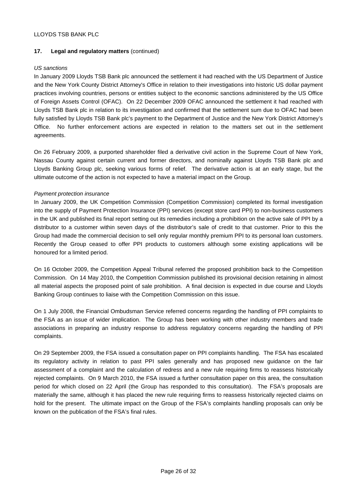## **17. Legal and regulatory matters** (continued)

## *US sanctions*

In January 2009 Lloyds TSB Bank plc announced the settlement it had reached with the US Department of Justice and the New York County District Attorney's Office in relation to their investigations into historic US dollar payment practices involving countries, persons or entities subject to the economic sanctions administered by the US Office of Foreign Assets Control (OFAC). On 22 December 2009 OFAC announced the settlement it had reached with Lloyds TSB Bank plc in relation to its investigation and confirmed that the settlement sum due to OFAC had been fully satisfied by Lloyds TSB Bank plc's payment to the Department of Justice and the New York District Attorney's Office. No further enforcement actions are expected in relation to the matters set out in the settlement agreements.

On 26 February 2009, a purported shareholder filed a derivative civil action in the Supreme Court of New York, Nassau County against certain current and former directors, and nominally against Lloyds TSB Bank plc and Lloyds Banking Group plc, seeking various forms of relief. The derivative action is at an early stage, but the ultimate outcome of the action is not expected to have a material impact on the Group.

## *Payment protection insurance*

In January 2009, the UK Competition Commission (Competition Commission) completed its formal investigation into the supply of Payment Protection Insurance (PPI) services (except store card PPI) to non-business customers in the UK and published its final report setting out its remedies including a prohibition on the active sale of PPI by a distributor to a customer within seven days of the distributor's sale of credit to that customer. Prior to this the Group had made the commercial decision to sell only regular monthly premium PPI to its personal loan customers. Recently the Group ceased to offer PPI products to customers although some existing applications will be honoured for a limited period.

On 16 October 2009, the Competition Appeal Tribunal referred the proposed prohibition back to the Competition Commission. On 14 May 2010, the Competition Commission published its provisional decision retaining in almost all material aspects the proposed point of sale prohibition. A final decision is expected in due course and Lloyds Banking Group continues to liaise with the Competition Commission on this issue.

On 1 July 2008, the Financial Ombudsman Service referred concerns regarding the handling of PPI complaints to the FSA as an issue of wider implication. The Group has been working with other industry members and trade associations in preparing an industry response to address regulatory concerns regarding the handling of PPI complaints.

On 29 September 2009, the FSA issued a consultation paper on PPI complaints handling. The FSA has escalated its regulatory activity in relation to past PPI sales generally and has proposed new guidance on the fair assessment of a complaint and the calculation of redress and a new rule requiring firms to reassess historically rejected complaints. On 9 March 2010, the FSA issued a further consultation paper on this area, the consultation period for which closed on 22 April (the Group has responded to this consultation). The FSA's proposals are materially the same, although it has placed the new rule requiring firms to reassess historically rejected claims on hold for the present. The ultimate impact on the Group of the FSA's complaints handling proposals can only be known on the publication of the FSA's final rules.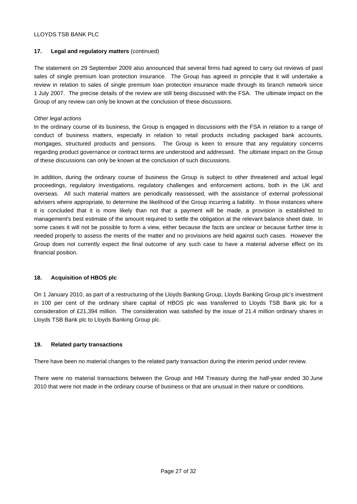## **17. Legal and regulatory matters** (continued)

The statement on 29 September 2009 also announced that several firms had agreed to carry out reviews of past sales of single premium loan protection insurance. The Group has agreed in principle that it will undertake a review in relation to sales of single premium loan protection insurance made through its branch network since 1 July 2007. The precise details of the review are still being discussed with the FSA. The ultimate impact on the Group of any review can only be known at the conclusion of these discussions.

## *Other legal actions*

In the ordinary course of its business, the Group is engaged in discussions with the FSA in relation to a range of conduct of business matters, especially in relation to retail products including packaged bank accounts, mortgages, structured products and pensions. The Group is keen to ensure that any regulatory concerns regarding product governance or contract terms are understood and addressed. The ultimate impact on the Group of these discussions can only be known at the conclusion of such discussions.

In addition, during the ordinary course of business the Group is subject to other threatened and actual legal proceedings, regulatory investigations, regulatory challenges and enforcement actions, both in the UK and overseas. All such material matters are periodically reassessed, with the assistance of external professional advisers where appropriate, to determine the likelihood of the Group incurring a liability. In those instances where it is concluded that it is more likely than not that a payment will be made, a provision is established to management's best estimate of the amount required to settle the obligation at the relevant balance sheet date. In some cases it will not be possible to form a view, either because the facts are unclear or because further time is needed properly to assess the merits of the matter and no provisions are held against such cases. However the Group does not currently expect the final outcome of any such case to have a material adverse effect on its financial position.

## **18. Acquisition of HBOS plc**

On 1 January 2010, as part of a restructuring of the Lloyds Banking Group, Lloyds Banking Group plc's investment in 100 per cent of the ordinary share capital of HBOS plc was transferred to Lloyds TSB Bank plc for a consideration of £21,394 million. The consideration was satisfied by the issue of 21.4 million ordinary shares in Lloyds TSB Bank plc to Lloyds Banking Group plc.

## **19. Related party transactions**

There have been no material changes to the related party transaction during the interim period under review.

There were no material transactions between the Group and HM Treasury during the half-year ended 30 June 2010 that were not made in the ordinary course of business or that are unusual in their nature or conditions.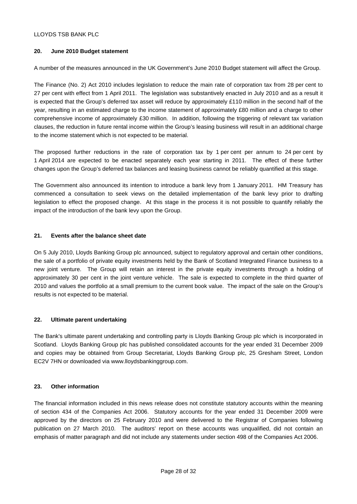## **20. June 2010 Budget statement**

A number of the measures announced in the UK Government's June 2010 Budget statement will affect the Group.

The Finance (No. 2) Act 2010 includes legislation to reduce the main rate of corporation tax from 28 per cent to 27 per cent with effect from 1 April 2011. The legislation was substantively enacted in July 2010 and as a result it is expected that the Group's deferred tax asset will reduce by approximately £110 million in the second half of the year, resulting in an estimated charge to the income statement of approximately £80 million and a charge to other comprehensive income of approximately £30 million. In addition, following the triggering of relevant tax variation clauses, the reduction in future rental income within the Group's leasing business will result in an additional charge to the income statement which is not expected to be material.

The proposed further reductions in the rate of corporation tax by 1 per cent per annum to 24 per cent by 1 April 2014 are expected to be enacted separately each year starting in 2011. The effect of these further changes upon the Group's deferred tax balances and leasing business cannot be reliably quantified at this stage.

The Government also announced its intention to introduce a bank levy from 1 January 2011. HM Treasury has commenced a consultation to seek views on the detailed implementation of the bank levy prior to drafting legislation to effect the proposed change. At this stage in the process it is not possible to quantify reliably the impact of the introduction of the bank levy upon the Group.

## **21. Events after the balance sheet date**

On 5 July 2010, Lloyds Banking Group plc announced, subject to regulatory approval and certain other conditions, the sale of a portfolio of private equity investments held by the Bank of Scotland Integrated Finance business to a new joint venture. The Group will retain an interest in the private equity investments through a holding of approximately 30 per cent in the joint venture vehicle. The sale is expected to complete in the third quarter of 2010 and values the portfolio at a small premium to the current book value. The impact of the sale on the Group's results is not expected to be material.

## **22. Ultimate parent undertaking**

The Bank's ultimate parent undertaking and controlling party is Lloyds Banking Group plc which is incorporated in Scotland. Lloyds Banking Group plc has published consolidated accounts for the year ended 31 December 2009 and copies may be obtained from Group Secretariat, Lloyds Banking Group plc, 25 Gresham Street, London EC2V 7HN or downloaded via www.lloydsbankinggroup.com.

## **23. Other information**

The financial information included in this news release does not constitute statutory accounts within the meaning of section 434 of the Companies Act 2006. Statutory accounts for the year ended 31 December 2009 were approved by the directors on 25 February 2010 and were delivered to the Registrar of Companies following publication on 27 March 2010. The auditors' report on these accounts was unqualified, did not contain an emphasis of matter paragraph and did not include any statements under section 498 of the Companies Act 2006.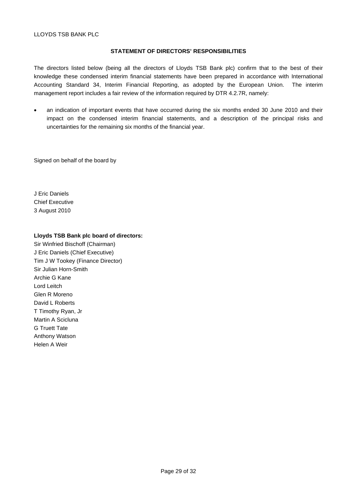#### **STATEMENT OF DIRECTORS' RESPONSIBILITIES**

The directors listed below (being all the directors of Lloyds TSB Bank plc) confirm that to the best of their knowledge these condensed interim financial statements have been prepared in accordance with International Accounting Standard 34, Interim Financial Reporting, as adopted by the European Union. The interim management report includes a fair review of the information required by DTR 4.2.7R, namely:

 an indication of important events that have occurred during the six months ended 30 June 2010 and their impact on the condensed interim financial statements, and a description of the principal risks and uncertainties for the remaining six months of the financial year.

Signed on behalf of the board by

J Eric Daniels Chief Executive 3 August 2010

#### **Lloyds TSB Bank plc board of directors:**

Sir Winfried Bischoff (Chairman) J Eric Daniels (Chief Executive) Tim J W Tookey (Finance Director) Sir Julian Horn-Smith Archie G Kane Lord Leitch Glen R Moreno David L Roberts T Timothy Ryan, Jr Martin A Scicluna G Truett Tate Anthony Watson Helen A Weir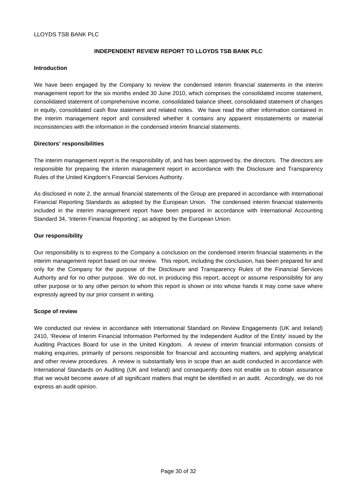## **INDEPENDENT REVIEW REPORT TO LLOYDS TSB BANK PLC**

#### **Introduction**

We have been engaged by the Company to review the condensed interim financial statements in the interim management report for the six months ended 30 June 2010, which comprises the consolidated income statement, consolidated statement of comprehensive income, consolidated balance sheet, consolidated statement of changes in equity, consolidated cash flow statement and related notes. We have read the other information contained in the interim management report and considered whether it contains any apparent misstatements or material inconsistencies with the information in the condensed interim financial statements.

## **Directors' responsibilities**

The interim management report is the responsibility of, and has been approved by, the directors. The directors are responsible for preparing the interim management report in accordance with the Disclosure and Transparency Rules of the United Kingdom's Financial Services Authority.

As disclosed in note 2, the annual financial statements of the Group are prepared in accordance with International Financial Reporting Standards as adopted by the European Union. The condensed interim financial statements included in the interim management report have been prepared in accordance with International Accounting Standard 34, 'Interim Financial Reporting', as adopted by the European Union.

#### **Our responsibility**

Our responsibility is to express to the Company a conclusion on the condensed interim financial statements in the interim management report based on our review. This report, including the conclusion, has been prepared for and only for the Company for the purpose of the Disclosure and Transparency Rules of the Financial Services Authority and for no other purpose. We do not, in producing this report, accept or assume responsibility for any other purpose or to any other person to whom this report is shown or into whose hands it may come save where expressly agreed by our prior consent in writing.

#### **Scope of review**

We conducted our review in accordance with International Standard on Review Engagements (UK and Ireland) 2410, 'Review of Interim Financial Information Performed by the Independent Auditor of the Entity' issued by the Auditing Practices Board for use in the United Kingdom. A review of interim financial information consists of making enquiries, primarily of persons responsible for financial and accounting matters, and applying analytical and other review procedures. A review is substantially less in scope than an audit conducted in accordance with International Standards on Auditing (UK and Ireland) and consequently does not enable us to obtain assurance that we would become aware of all significant matters that might be identified in an audit. Accordingly, we do not express an audit opinion.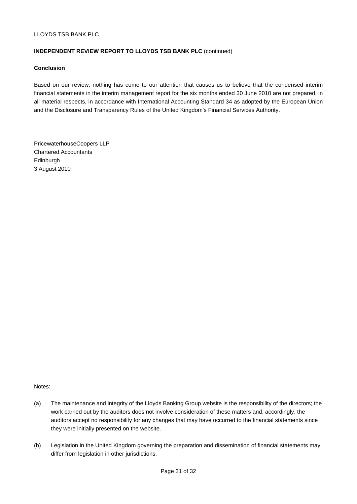## **INDEPENDENT REVIEW REPORT TO LLOYDS TSB BANK PLC** (continued)

## **Conclusion**

Based on our review, nothing has come to our attention that causes us to believe that the condensed interim financial statements in the interim management report for the six months ended 30 June 2010 are not prepared, in all material respects, in accordance with International Accounting Standard 34 as adopted by the European Union and the Disclosure and Transparency Rules of the United Kingdom's Financial Services Authority.

PricewaterhouseCoopers LLP Chartered Accountants Edinburgh 3 August 2010

Notes:

- (a) The maintenance and integrity of the Lloyds Banking Group website is the responsibility of the directors; the work carried out by the auditors does not involve consideration of these matters and, accordingly, the auditors accept no responsibility for any changes that may have occurred to the financial statements since they were initially presented on the website.
- (b) Legislation in the United Kingdom governing the preparation and dissemination of financial statements may differ from legislation in other jurisdictions.